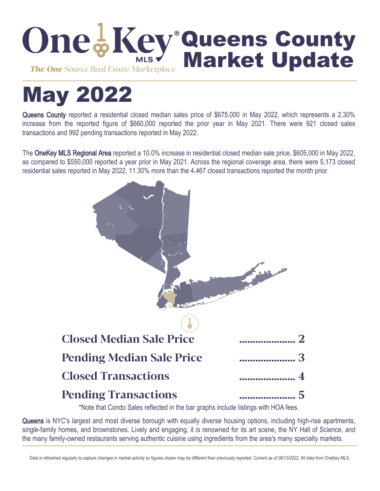

# May 2022

Queens County reported a residential closed median sales price of \$675,000 in May 2022, which represents a 2.30% increase from the reported figure of \$660,000 reported the prior year in May 2021. There were 921 closed sales transactions and 992 pending transactions reported in May 2022.

The OneKey MLS Regional Area reported a 10.0% increase in residential closed median sale price, \$605,000 in May 2022, as compared to \$550,000 reported a year prior in May 2021. Across the regional coverage area, there were 5,173 closed residential sales reported in May 2022, 11.30% more than the 4,467 closed transactions reported the month prior.



\*Note that Condo Sales reflected in the bar graphs include listings with HOA fees.

Queens is NYC's largest and most diverse borough with equally diverse housing options, including high-rise apartments, single-family homes, and brownstones. Lively and engaging, it is renowned for its art scene, the NY Hall of Science, and the many family-owned restaurants serving authentic cuisine using ingredients from the area's many specialty markets.

Data is refreshed regularly to capture changes in market activity so figures shown may be different than previously reported. Current as of 06/13/2022. All data from OneKey MLS.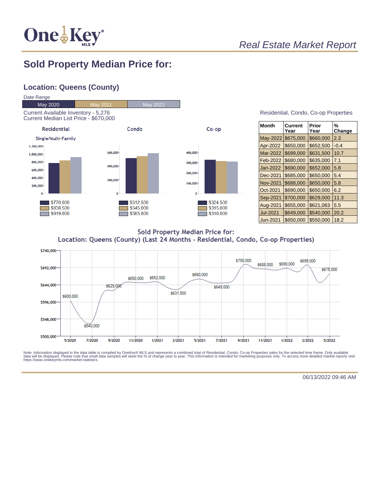

## **Sold Property Median Price for:**

## **Location: Queens (County)**



| Residential, Condo, Co-op Properties |  |  |  |
|--------------------------------------|--|--|--|
|--------------------------------------|--|--|--|

| Month           | Current<br>Year | Prior<br>Year | %<br>Change |
|-----------------|-----------------|---------------|-------------|
| May-2022        | \$675,000       | \$660,000     | 2.3         |
| Apr-2022        | \$650,000       | \$652,500     | $-0.4$      |
| Mar-2022        | \$699,000       | \$631,500     | 10.7        |
| Feb-2022        | \$680,000       | \$635,000     | 7.1         |
| Jan-2022        | \$690,000       | \$652,000     | 5.8         |
| Dec-2021        | \$685,000       | \$650,000     | 5.4         |
| <b>Nov-2021</b> | \$688,000       | \$650,000     | 5.8         |
| Oct-2021        | \$690,000       | \$650,000     | 6.2         |
| Sep-2021        | \$700,000       | \$629,000     | 11.3        |
| Aug-2021        | \$655,000       | \$621,063     | 5.5         |
| <b>Jul-2021</b> | \$649,000       | \$540,000     | 20.2        |
| Jun-2021        | \$650,000       | \$550,000     | 18.2        |

**Sold Property Median Price for:** Location: Queens (County) (Last 24 Months - Residential, Condo, Co-op Properties)



Note: Information displayed in the data table is compiled by OneKey® MLS and represents a combined total of Residential, Condo, Co-op Properties sales for the selected time frame. Only available<br>data will be displayed. Pl

06/13/2022 09:46 AM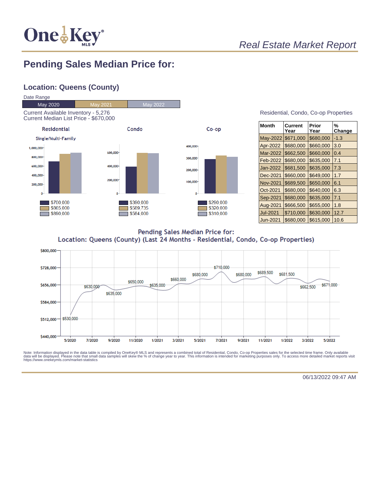

# **Pending Sales Median Price for:**

## **Location: Queens (County)**



| Residential, Condo, Co-op Properties |  |  |
|--------------------------------------|--|--|
|                                      |  |  |

| <b>Month</b> | Current<br>Year | Prior<br>Year | %<br>Change |
|--------------|-----------------|---------------|-------------|
| May-2022     | \$671,000       | \$680,000     | $-1.3$      |
| Apr-2022     | \$680,000       | \$660,000     | 3.0         |
| Mar-2022     | \$662,500       | \$660,000     | 0.4         |
| Feb-2022     | \$680,000       | \$635,000     | 7.1         |
| Jan-2022     | \$681,500       | \$635,000     | 7.3         |
| Dec-2021     | \$660,000       | \$649,000     | 1.7         |
| Nov-2021     | \$689,500       | \$650,000     | 6.1         |
| Oct-2021     | \$680,000       | \$640,000     | 6.3         |
| Sep-2021     | \$680,000       | \$635,000     | 7.1         |
| Aug-2021     | \$666,500       | \$655,000     | 1.8         |
| Jul-2021     | \$710,000       | \$630,000     | 12.7        |
| Jun-2021     | \$680.000       | \$615,000     | 10.6        |

Pending Sales Median Price for: Location: Queens (County) (Last 24 Months - Residential, Condo, Co-op Properties)



Note: Information displayed in the data table is compiled by OneKey® MLS and represents a combined total of Residential, Condo, Co-op Properties sales for the selected time frame. Only available<br>data will be displayed. Pl

06/13/2022 09:47 AM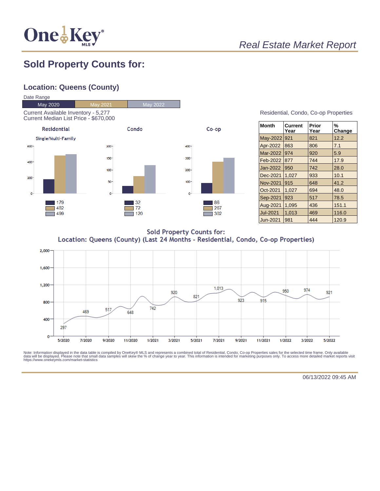

# **Sold Property Counts for:**

## **Location: Queens (County)**



| Residential, Condo, Co-op Properties |  |  |
|--------------------------------------|--|--|
|                                      |  |  |

| <b>Month</b>    | <b>Current</b><br>Year | Prior<br>Year | %<br>Change |
|-----------------|------------------------|---------------|-------------|
| May-2022        | 921                    | 821           | 12.2        |
| Apr-2022        | 863                    | 806           | 7.1         |
| Mar-2022        | 974                    | 920           | 5.9         |
| Feb-2022        | 877                    | 744           | 17.9        |
| Jan-2022        | 950                    | 742           | 28.0        |
| Dec-2021        | 1,027                  | 933           | 10.1        |
| <b>Nov-2021</b> | 915                    | 648           | 41.2        |
| Oct-2021        | 1.027                  | 694           | 48.0        |
| Sep-2021        | 923                    | 517           | 78.5        |
| Aug-2021        | 1.095                  | 436           | 151.1       |
| <b>Jul-2021</b> | 1,013                  | 469           | 116.0       |
| Jun-2021        | 981                    | 444           | 120.9       |

**Sold Property Counts for:** Location: Queens (County) (Last 24 Months - Residential, Condo, Co-op Properties)



Note: Information displayed in the data table is compiled by OneKey® MLS and represents a combined total of Residential, Condo, Co-op Properties sales for the selected time frame. Only available<br>data will be displayed. Pl

06/13/2022 09:45 AM